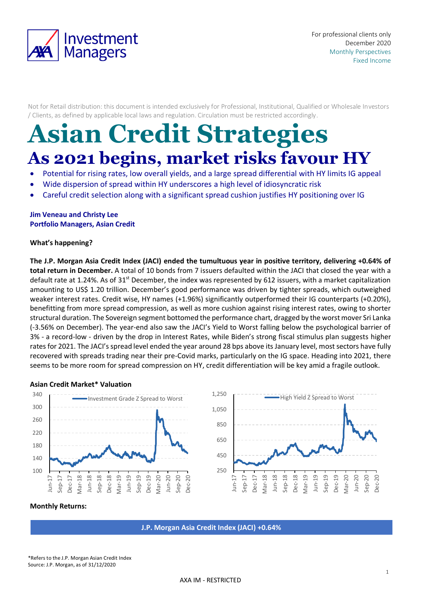

Not for Retail distribution: this document is intended exclusively for Professional, Institutional, Qualified or Wholesale Investors / Clients, as defined by applicable local laws and regulation. Circulation must be restricted accordingly.

# **Asian Credit Strategies As 2021 begins, market risks favour HY**

- Potential for rising rates, low overall yields, and a large spread differential with HY limits IG appeal
- Wide dispersion of spread within HY underscores a high level of idiosyncratic risk
- Careful credit selection along with a significant spread cushion justifies HY positioning over IG

## **Jim Veneau and Christy Lee Portfolio Managers, Asian Credit**

## **What's happening?**

**The J.P. Morgan Asia Credit Index (JACI) ended the tumultuous year in positive territory, delivering +0.64% of total return in December.** A total of 10 bonds from 7 issuers defaulted within the JACI that closed the year with a default rate at 1.24%. As of 31<sup>st</sup> December, the index was represented by 612 issuers, with a market capitalization amounting to US\$ 1.20 trillion. December's good performance was driven by tighter spreads, which outweighed weaker interest rates. Credit wise, HY names (+1.96%) significantly outperformed their IG counterparts (+0.20%), benefitting from more spread compression, as well as more cushion against rising interest rates, owing to shorter structural duration. The Sovereign segment bottomed the performance chart, dragged by the worst mover Sri Lanka (-3.56% on December). The year-end also saw the JACI's Yield to Worst falling below the psychological barrier of 3% - a record-low - driven by the drop in Interest Rates, while Biden's strong fiscal stimulus plan suggests higher rates for 2021. The JACI's spread level ended the year around 28 bps above its January level, most sectors have fully recovered with spreads trading near their pre-Covid marks, particularly on the IG space. Heading into 2021, there seems to be more room for spread compression on HY, credit differentiation will be key amid a fragile outlook.

### **Asian Credit Market\* Valuation**



### **Monthly Returns:**

**J.P. Morgan Asia Credit Index (JACI) +0.64%**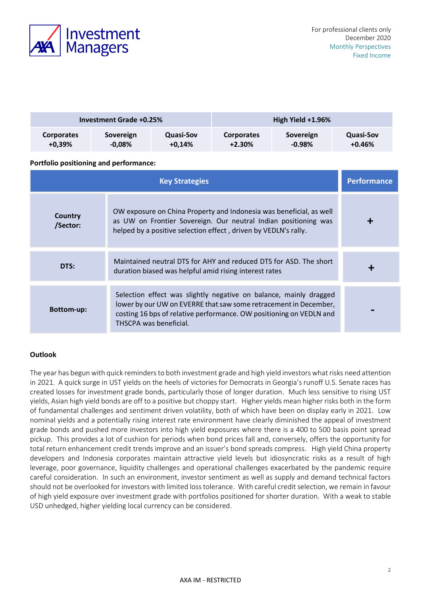

| <b>Investment Grade +0.25%</b> |           |           | High Yield +1.96% |           |                  |
|--------------------------------|-----------|-----------|-------------------|-----------|------------------|
| <b>Corporates</b>              | Sovereign | Quasi-Sov | <b>Corporates</b> | Sovereign | <b>Quasi-Sov</b> |
| $+0.39%$                       | $-0.08\%$ | $+0.14%$  | $+2.30%$          | $-0.98\%$ | $+0.46\%$        |

## **Portfolio positioning and performance:**

|                     | Performance                                                                                                                                                                                                                            |  |
|---------------------|----------------------------------------------------------------------------------------------------------------------------------------------------------------------------------------------------------------------------------------|--|
| Country<br>/Sector: | OW exposure on China Property and Indonesia was beneficial, as well<br>as UW on Frontier Sovereign. Our neutral Indian positioning was<br>helped by a positive selection effect, driven by VEDLN's rally.                              |  |
| DTS:                | Maintained neutral DTS for AHY and reduced DTS for ASD. The short<br>duration biased was helpful amid rising interest rates                                                                                                            |  |
| <b>Bottom-up:</b>   | Selection effect was slightly negative on balance, mainly dragged<br>lower by our UW on EVERRE that saw some retracement in December,<br>costing 16 bps of relative performance. OW positioning on VEDLN and<br>THSCPA was beneficial. |  |

## **Outlook**

The year has begun with quick reminders to both investment grade and high yield investors what risks need attention in 2021. A quick surge in UST yields on the heels of victories for Democrats in Georgia's runoff U.S. Senate races has created losses for investment grade bonds, particularly those of longer duration. Much less sensitive to rising UST yields, Asian high yield bonds are off to a positive but choppy start. Higher yields mean higher risks both in the form of fundamental challenges and sentiment driven volatility, both of which have been on display early in 2021. Low nominal yields and a potentially rising interest rate environment have clearly diminished the appeal of investment grade bonds and pushed more investors into high yield exposures where there is a 400 to 500 basis point spread pickup. This provides a lot of cushion for periods when bond prices fall and, conversely, offers the opportunity for total return enhancement credit trends improve and an issuer's bond spreads compress. High yield China property developers and Indonesia corporates maintain attractive yield levels but idiosyncratic risks as a result of high leverage, poor governance, liquidity challenges and operational challenges exacerbated by the pandemic require careful consideration. In such an environment, investor sentiment as well as supply and demand technical factors should not be overlooked for investors with limited loss tolerance. With careful credit selection, we remain in favour of high yield exposure over investment grade with portfolios positioned for shorter duration. With a weak to stable USD unhedged, higher yielding local currency can be considered.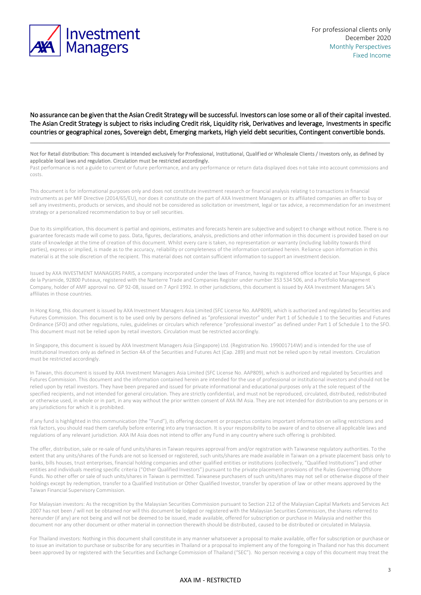

No assurance can be given that the Asian Credit Strategy will be successful. Investors can lose some or all of their capital invested. The Asian Credit Strategy is subject to risks including Credit risk, Liquidity risk, Derivatives and leverage, Investments in specific countries or geographical zones, Sovereign debt, Emerging markets, High yield debt securities, Contingent convertible bonds.

Not for Retail distribution: This document is intended exclusively for Professional, Institutional, Qualified or Wholesale Clients / Investors only, as defined by applicable local laws and regulation. Circulation must be restricted accordingly.

Past performance is not a guide to current or future performance, and any performance or return data displayed does not take into account commissions and costs.

This document is for informational purposes only and does not constitute investment research or financial analysis relating to transactions in financial instruments as per MIF Directive (2014/65/EU), nor does it constitute on the part of AXA Investment Managers or its affiliated companies an offer to buy or sell any investments, products or services, and should not be considered as solicitation or investment, legal or tax advice, a recommendation for an investment strategy or a personalized recommendation to buy or sell securities.

Due to its simplification, this document is partial and opinions, estimates and forecasts herein are subjective and subject to change without notice. There is no guarantee forecasts made will come to pass. Data, figures, declarations, analysis, predictions and other information in this document is provided based on our state of knowledge at the time of creation of this document. Whilst every care is taken, no representation or warranty (including liability towards third parties), express or implied, is made as to the accuracy, reliability or completeness of the information contained herein. Reliance upon information in this material is at the sole discretion of the recipient. This material does not contain sufficient information to support an investment decision.

Issued by AXA INVESTMENT MANAGERS PARIS, a company incorporated under the laws of France, having its registered office located at Tour Majunga, 6 place de la Pyramide, 92800 Puteaux, registered with the Nanterre Trade and Companies Register under number 353 534 506, and a Portfolio Management Company, holder of AMF approval no. GP 92-08, issued on 7 April 1992. In other jurisdictions, this document is issued by AXA Investment Managers SA's affiliates in those countries.

In Hong Kong, this document is issued by AXA Investment Managers Asia Limited (SFC License No. AAP809), which is authorized and regulated by Securities and Futures Commission. This document is to be used only by persons defined as "professional investor" under Part 1 of Schedule 1 to the Securities and Futures Ordinance (SFO) and other regulations, rules, guidelines or circulars which reference "professional investor" as defined under Part 1 of Schedule 1 to the SFO. This document must not be relied upon by retail investors. Circulation must be restricted accordingly.

In Singapore, this document is issued by AXA Investment Managers Asia (Singapore) Ltd. (Registration No. 199001714W) and is intended for the use of Institutional Investors only as defined in Section 4A of the Securities and Futures Act (Cap. 289) and must not be relied upon by retail investors. Circulation must be restricted accordingly.

In Taiwan, this document is issued by AXA Investment Managers Asia Limited (SFC License No. AAP809), which is authorized and regulated by Securities and Futures Commission. This document and the information contained herein are intended for the use of professional or institutional investors and should not be relied upon by retail investors. They have been prepared and issued for private informational and educational purposes only at the sole request of the specified recipients, and not intended for general circulation. They are strictly confidential, and must not be reproduced, circulated, distributed, redistributed or otherwise used, in whole or in part, in any way without the prior written consent of AXA IM Asia. They are not intended for distribution to any persons or in any jurisdictions for which it is prohibited.

If any fund is highlighted in this communication (the "Fund"), its offering document or prospectus contains important information on selling restrictions and risk factors, you should read them carefully before entering into any transaction. It is your responsibility to be aware of and to observe all applicable laws and regulations of any relevant jurisdiction. AXA IM Asia does not intend to offer any Fund in any country where such offering is prohibited.

The offer, distribution, sale or re-sale of fund units/shares in Taiwan requires approval from and/or registration with Taiwanese regulatory authorities. To the extent that any units/shares of the Funds are not so licensed or registered, such units/shares are made available in Taiwan on a private placement basis only to banks, bills houses, trust enterprises, financial holding companies and other qualified entities or institutions (collectively, "Qualified Institutions") and other entities and individuals meeting specific criteria ("Other Qualified Investors") pursuant to the private placement provisions of the Rules Governing Offshore Funds. No other offer or sale of such units/shares in Taiwan is permitted. Taiwanese purchasers of such units/shares may not sell or otherwise dispose of their holdings except by redemption, transfer to a Qualified Institution or Other Qualified Investor, transfer by operation of law or other means approved by the Taiwan Financial Supervisory Commission.

For Malaysian investors: As the recognition by the Malaysian Securities Commission pursuant to Section 212 of the Malaysian Capital Markets and Services Act 2007 has not been / will not be obtained nor will this document be lodged or registered with the Malaysian Securities Commission, the shares referred to hereunder (if any) are not being and will not be deemed to be issued, made available, offered for subscription or purchase in Malaysia and neither this document nor any other document or other material in connection therewith should be distributed, caused to be distributed or circulated in Malaysia.

For Thailand investors: Nothing in this document shall constitute in any manner whatsoever a proposal to make available, offer for subscription or purchase or to issue an invitation to purchase or subscribe for any securities in Thailand or a proposal to implement any of the foregoing in Thailand nor has this document been approved by or registered with the Securities and Exchange Commission of Thailand ("SEC"). No person receiving a copy of this document may treat the

#### AXA IM - RESTRICTED